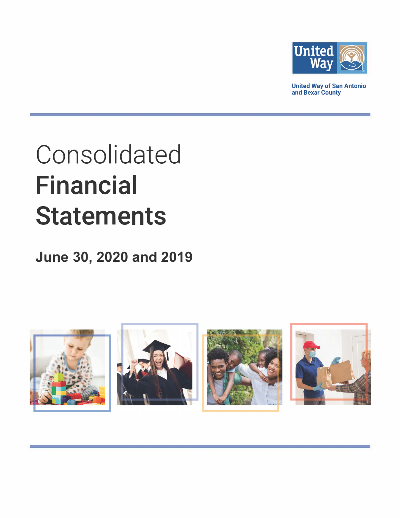

**United Way of San Antonio and Bexar County** 

# **Consolidated Financial Statements**

## **June 30, 2020 and 2019**

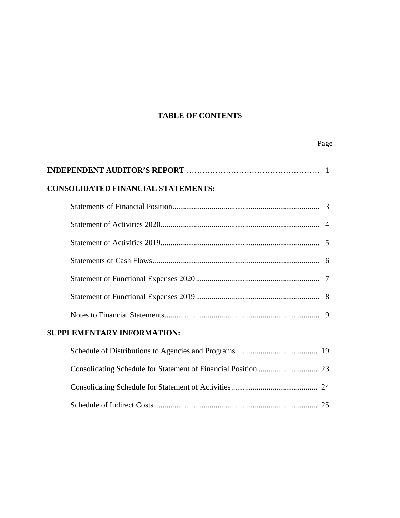### **TABLE OF CONTENTS**

Page **Page** 

| <b>CONSOLIDATED FINANCIAL STATEMENTS:</b> |  |
|-------------------------------------------|--|
|                                           |  |
|                                           |  |
|                                           |  |
|                                           |  |
|                                           |  |
|                                           |  |
|                                           |  |
| SUPPLEMENTARY INFORMATION:                |  |
|                                           |  |
|                                           |  |
|                                           |  |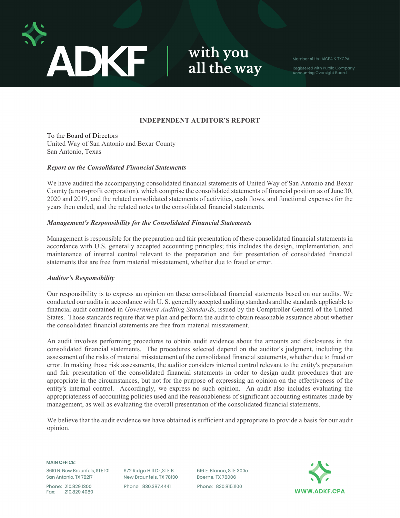

with you all the way

Accounting Oversight Board.

#### **INDEPENDENT AUDITOR'S REPORT**

To the Board of Directors United Way of San Antonio and Bexar County San Antonio, Texas

#### *Report on the Consolidated Financial Statements*

We have audited the accompanying consolidated financial statements of United Way of San Antonio and Bexar County (a non-profit corporation), which comprise the consolidated statements of financial position as of June 30, 2020 and 2019, and the related consolidated statements of activities, cash flows, and functional expenses for the years then ended, and the related notes to the consolidated financial statements.

#### *Management's Responsibility for the Consolidated Financial Statements*

Management is responsible for the preparation and fair presentation of these consolidated financial statements in accordance with U.S. generally accepted accounting principles; this includes the design, implementation, and maintenance of internal control relevant to the preparation and fair presentation of consolidated financial statements that are free from material misstatement, whether due to fraud or error.

#### *Auditor's Responsibility*

Our responsibility is to express an opinion on these consolidated financial statements based on our audits. We conducted our audits in accordance with U. S. generally accepted auditing standards and the standards applicable to financial audit contained in *Government Auditing Standards*, issued by the Comptroller General of the United States. Those standards require that we plan and perform the audit to obtain reasonable assurance about whether the consolidated financial statements are free from material misstatement.

An audit involves performing procedures to obtain audit evidence about the amounts and disclosures in the consolidated financial statements. The procedures selected depend on the auditor's judgment, including the assessment of the risks of material misstatement of the consolidated financial statements, whether due to fraud or error. In making those risk assessments, the auditor considers internal control relevant to the entity's preparation and fair presentation of the consolidated financial statements in order to design audit procedures that are appropriate in the circumstances, but not for the purpose of expressing an opinion on the effectiveness of the entity's internal control.Accordingly, we express no such opinion. An audit also includes evaluating the appropriateness of accounting policies used and the reasonableness of significant accounting estimates made by management, as well as evaluating the overall presentation of the consolidated financial statements.

We believe that the audit evidence we have obtained is sufficient and appropriate to provide a basis for our audit opinion.

**MAIN OFFICE:** 

8610 N. New Braunfels, STE 101 San Antonio, TX 78217

Phone: 210.829.1300 210.829.4080 Fax:

672 Ridge Hill Dr., STE B New Braunfels, TX 78130 Phone: 830.387.4441

616 E. Blanco, STE 300e Boerne, TX 78006 Phone: 830.815.1100

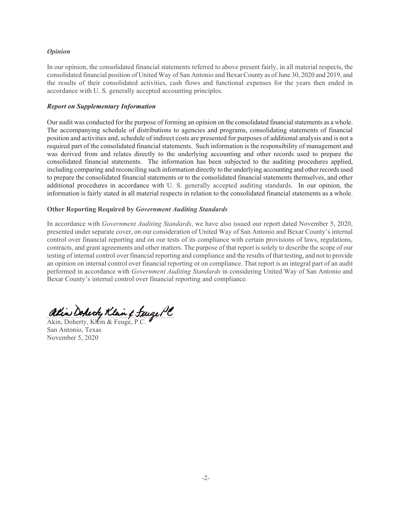#### *Opinion*

In our opinion, the consolidated financial statements referred to above present fairly, in all material respects, the consolidated financial position of United Way of San Antonio and Bexar County as of June 30, 2020 and 2019, and the results of their consolidated activities, cash flows and functional expenses for the years then ended in accordance with U. S. generally accepted accounting principles.

#### *Report on Supplementary Information*

Our audit was conducted for the purpose of forming an opinion on the consolidated financial statements as a whole. The accompanying schedule of distributions to agencies and programs, consolidating statements of financial position and activities and, schedule of indirect costs are presented for purposes of additional analysis and is not a required part of the consolidated financial statements. Such information is the responsibility of management and was derived from and relates directly to the underlying accounting and other records used to prepare the consolidated financial statements. The information has been subjected to the auditing procedures applied, including comparing and reconciling such information directly to the underlying accounting and other records used to prepare the consolidated financial statements or to the consolidated financial statements themselves, and other additional procedures in accordance with U. S. generally accepted auditing standards. In our opinion, the information is fairly stated in all material respects in relation to the consolidated financial statements as a whole.

#### **Other Reporting Required by** *Government Auditing Standards*

In accordance with *Government Auditing Standards*, we have also issued our report dated November 5, 2020, presented under separate cover, on our consideration of United Way of San Antonio and Bexar County's internal control over financial reporting and on our tests of its compliance with certain provisions of laws, regulations, contracts, and grant agreements and other matters. The purpose of that report is solely to describe the scope of our testing of internal control over financial reporting and compliance and the results of that testing, and not to provide an opinion on internal control over financial reporting or on compliance. That report is an integral part of an audit performed in accordance with *Government Auditing Standards* in considering United Way of San Antonio and Bexar County's internal control over financial reporting and compliance.

ation Doperty Klan & Tueger C akin Dopirty Klan & Juige PC

Akin, Doherty, Klein & Feuge, P.C. San Antonio, Texas November 5, 2020 Akin, Doherty, Klein & Feuge, P.C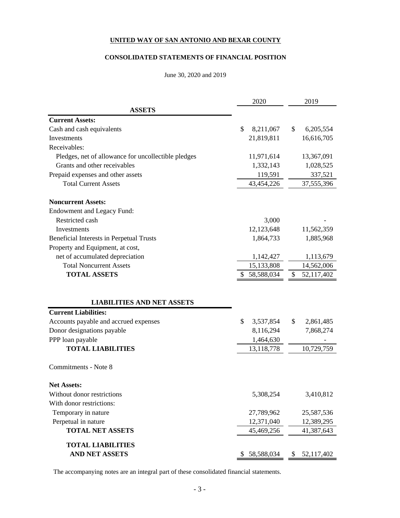#### **CONSOLIDATED STATEMENTS OF FINANCIAL POSITION**

#### June 30, 2020 and 2019

|                                                     | 2020            | 2019             |
|-----------------------------------------------------|-----------------|------------------|
| <b>ASSETS</b>                                       |                 |                  |
| <b>Current Assets:</b>                              |                 |                  |
| Cash and cash equivalents                           | \$<br>8,211,067 | \$<br>6,205,554  |
| <b>Investments</b>                                  | 21,819,811      | 16,616,705       |
| Receivables:                                        |                 |                  |
| Pledges, net of allowance for uncollectible pledges | 11,971,614      | 13,367,091       |
| Grants and other receivables                        | 1,332,143       | 1,028,525        |
| Prepaid expenses and other assets                   | 119,591         | 337,521          |
| <b>Total Current Assets</b>                         | 43,454,226      | 37,555,396       |
| <b>Noncurrent Assets:</b>                           |                 |                  |
| <b>Endowment and Legacy Fund:</b>                   |                 |                  |
| Restricted cash                                     | 3,000           |                  |
| Investments                                         | 12,123,648      | 11,562,359       |
| Beneficial Interests in Perpetual Trusts            | 1,864,733       | 1,885,968        |
| Property and Equipment, at cost,                    |                 |                  |
| net of accumulated depreciation                     | 1,142,427       | 1,113,679        |
| <b>Total Noncurrent Assets</b>                      | 15,133,808      | 14,562,006       |
| <b>TOTAL ASSETS</b>                                 | 58,588,034      | 52,117,402<br>\$ |
|                                                     |                 |                  |
| <b>LIABILITIES AND NET ASSETS</b>                   |                 |                  |
| <b>Current Liabilities:</b>                         |                 |                  |
| Accounts payable and accrued expenses               | \$<br>3,537,854 | \$<br>2,861,485  |
| Donor designations payable                          | 8,116,294       | 7,868,274        |
| PPP loan payable                                    | 1,464,630       |                  |
| <b>TOTAL LIABILITIES</b>                            | 13,118,778      | 10,729,759       |
| Commitments - Note 8                                |                 |                  |
| <b>Net Assets:</b>                                  |                 |                  |
| Without donor restrictions                          | 5,308,254       | 3,410,812        |
| With donor restrictions:                            |                 |                  |
| Temporary in nature                                 | 27,789,962      | 25,587,536       |
| Perpetual in nature                                 | 12,371,040      | 12,389,295       |
| <b>TOTAL NET ASSETS</b>                             | 45,469,256      | 41,387,643       |
| <b>TOTAL LIABILITIES</b>                            |                 |                  |
| AND NET ASSETS                                      | 58,588,034      | 52,117,402<br>P  |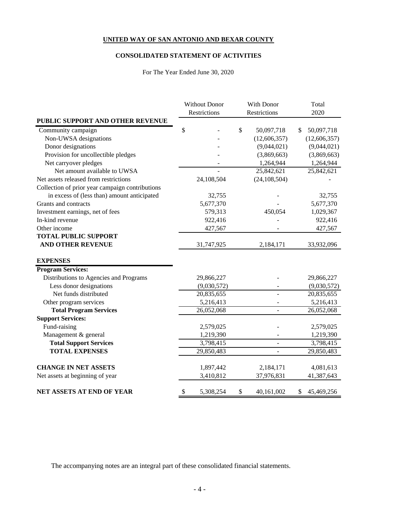#### **CONSOLIDATED STATEMENT OF ACTIVITIES**

For The Year Ended June 30, 2020

|                                                 | With Donor<br><b>Without Donor</b> |              |    | Total          |    |                         |  |      |
|-------------------------------------------------|------------------------------------|--------------|----|----------------|----|-------------------------|--|------|
|                                                 |                                    | Restrictions |    | Restrictions   |    |                         |  | 2020 |
| PUBLIC SUPPORT AND OTHER REVENUE                |                                    |              |    |                |    |                         |  |      |
| Community campaign                              | \$                                 |              | \$ | 50,097,718     | \$ | 50,097,718              |  |      |
| Non-UWSA designations                           |                                    |              |    | (12,606,357)   |    | (12,606,357)            |  |      |
| Donor designations                              |                                    |              |    | (9,044,021)    |    | (9,044,021)             |  |      |
| Provision for uncollectible pledges             |                                    |              |    | (3,869,663)    |    | (3,869,663)             |  |      |
| Net carryover pledges                           |                                    |              |    | 1,264,944      |    | 1,264,944               |  |      |
| Net amount available to UWSA                    |                                    |              |    | 25,842,621     |    | 25,842,621              |  |      |
| Net assets released from restrictions           |                                    | 24,108,504   |    | (24, 108, 504) |    |                         |  |      |
| Collection of prior year campaign contributions |                                    |              |    |                |    |                         |  |      |
| in excess of (less than) amount anticipated     |                                    | 32,755       |    |                |    | 32,755                  |  |      |
| Grants and contracts                            |                                    | 5,677,370    |    |                |    | 5,677,370               |  |      |
| Investment earnings, net of fees                |                                    | 579,313      |    | 450,054        |    | 1,029,367               |  |      |
| In-kind revenue                                 |                                    | 922,416      |    |                |    | 922,416                 |  |      |
| Other income                                    |                                    | 427,567      |    |                |    | 427,567                 |  |      |
| <b>TOTAL PUBLIC SUPPORT</b>                     |                                    |              |    |                |    |                         |  |      |
| <b>AND OTHER REVENUE</b>                        |                                    | 31,747,925   |    | 2,184,171      |    | 33,932,096              |  |      |
|                                                 |                                    |              |    |                |    |                         |  |      |
| <b>EXPENSES</b>                                 |                                    |              |    |                |    |                         |  |      |
| <b>Program Services:</b>                        |                                    |              |    |                |    |                         |  |      |
| Distributions to Agencies and Programs          |                                    | 29,866,227   |    |                |    | 29,866,227              |  |      |
| Less donor designations                         |                                    | (9,030,572)  |    |                |    | (9,030,572)             |  |      |
| Net funds distributed                           |                                    | 20,835,655   |    |                |    | 20,835,655              |  |      |
| Other program services                          |                                    | 5,216,413    |    |                |    | 5,216,413               |  |      |
| <b>Total Program Services</b>                   |                                    | 26,052,068   |    |                |    | 26,052,068              |  |      |
| <b>Support Services:</b>                        |                                    |              |    |                |    |                         |  |      |
| Fund-raising                                    |                                    | 2,579,025    |    |                |    | 2,579,025               |  |      |
| Management & general                            |                                    | 1,219,390    |    |                |    | 1,219,390               |  |      |
| <b>Total Support Services</b>                   |                                    | 3,798,415    |    | $\blacksquare$ |    | 3,798,415               |  |      |
| <b>TOTAL EXPENSES</b>                           |                                    | 29,850,483   |    | $\overline{a}$ |    | 29,850,483              |  |      |
| <b>CHANGE IN NET ASSETS</b>                     |                                    |              |    |                |    |                         |  |      |
|                                                 |                                    | 1,897,442    |    | 2,184,171      |    | 4,081,613<br>41,387,643 |  |      |
| Net assets at beginning of year                 |                                    | 3,410,812    |    | 37,976,831     |    |                         |  |      |
| NET ASSETS AT END OF YEAR                       | \$                                 | 5,308,254    | \$ | 40,161,002     | \$ | 45,469,256              |  |      |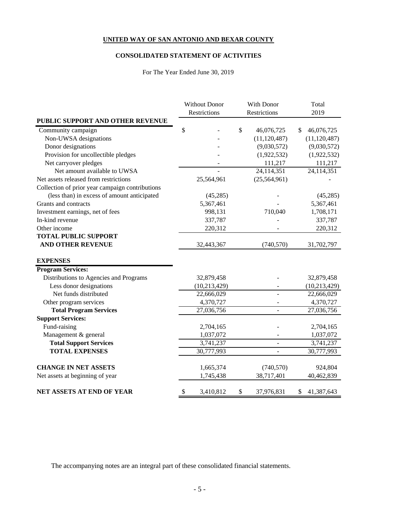#### **CONSOLIDATED STATEMENT OF ACTIVITIES**

For The Year Ended June 30, 2019

|                                                 |    | <b>Without Donor</b> |              | With Donor               | Total            |
|-------------------------------------------------|----|----------------------|--------------|--------------------------|------------------|
|                                                 |    | Restrictions         | Restrictions |                          | 2019             |
| PUBLIC SUPPORT AND OTHER REVENUE                |    |                      |              |                          |                  |
| Community campaign                              | \$ |                      | \$           | 46,076,725               | \$<br>46,076,725 |
| Non-UWSA designations                           |    |                      |              | (11, 120, 487)           | (11, 120, 487)   |
| Donor designations                              |    |                      |              | (9,030,572)              | (9,030,572)      |
| Provision for uncollectible pledges             |    |                      |              | (1,922,532)              | (1,922,532)      |
| Net carryover pledges                           |    |                      |              | 111,217                  | 111,217          |
| Net amount available to UWSA                    |    |                      |              | 24,114,351               | 24,114,351       |
| Net assets released from restrictions           |    | 25,564,961           |              | (25, 564, 961)           |                  |
| Collection of prior year campaign contributions |    |                      |              |                          |                  |
| (less than) in excess of amount anticipated     |    | (45,285)             |              |                          | (45, 285)        |
| Grants and contracts                            |    | 5,367,461            |              |                          | 5,367,461        |
| Investment earnings, net of fees                |    | 998,131              |              | 710,040                  | 1,708,171        |
| In-kind revenue                                 |    | 337,787              |              |                          | 337,787          |
| Other income                                    |    | 220,312              |              |                          | 220,312          |
| <b>TOTAL PUBLIC SUPPORT</b>                     |    |                      |              |                          |                  |
| <b>AND OTHER REVENUE</b>                        |    | 32,443,367           |              | (740, 570)               | 31,702,797       |
|                                                 |    |                      |              |                          |                  |
| <b>EXPENSES</b>                                 |    |                      |              |                          |                  |
| <b>Program Services:</b>                        |    |                      |              |                          |                  |
| Distributions to Agencies and Programs          |    | 32,879,458           |              |                          | 32,879,458       |
| Less donor designations                         |    | (10, 213, 429)       |              |                          | (10, 213, 429)   |
| Net funds distributed                           |    | 22,666,029           |              |                          | 22,666,029       |
| Other program services                          |    | 4,370,727            |              |                          | 4,370,727        |
| <b>Total Program Services</b>                   |    | 27,036,756           |              |                          | 27,036,756       |
| <b>Support Services:</b>                        |    |                      |              |                          |                  |
| Fund-raising                                    |    | 2,704,165            |              |                          | 2,704,165        |
| Management & general                            |    | 1,037,072            |              |                          | 1,037,072        |
| <b>Total Support Services</b>                   |    | 3,741,237            |              | $\blacksquare$           | 3,741,237        |
| <b>TOTAL EXPENSES</b>                           |    | 30,777,993           |              | $\overline{\phantom{a}}$ | 30,777,993       |
| <b>CHANGE IN NET ASSETS</b>                     |    | 1,665,374            |              | (740, 570)               | 924,804          |
| Net assets at beginning of year                 |    | 1,745,438            |              | 38,717,401               | 40,462,839       |
| NET ASSETS AT END OF YEAR                       | \$ | 3,410,812            | \$           | 37,976,831               | \$<br>41,387,643 |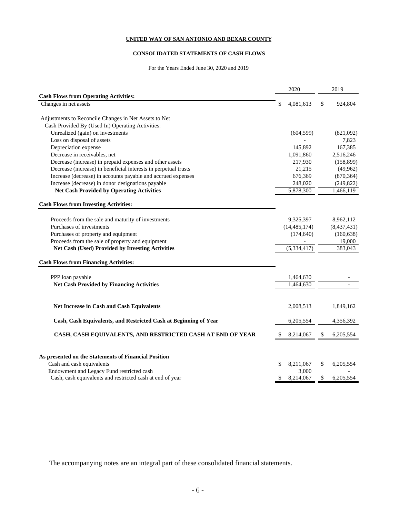#### **CONSOLIDATED STATEMENTS OF CASH FLOWS**

For the Years Ended June 30, 2020 and 2019

|                                                                                | 2020            | 2019            |
|--------------------------------------------------------------------------------|-----------------|-----------------|
| <b>Cash Flows from Operating Activities:</b>                                   |                 |                 |
| Changes in net assets                                                          | 4,081,613       | \$<br>924,804   |
| Adjustments to Reconcile Changes in Net Assets to Net                          |                 |                 |
| Cash Provided By (Used In) Operating Activities:                               |                 |                 |
|                                                                                |                 |                 |
| Unrealized (gain) on investments                                               | (604, 599)      | (821,092)       |
| Loss on disposal of assets                                                     |                 | 7,823           |
| Depreciation expense                                                           | 145,892         | 167,385         |
| Decrease in receivables, net                                                   | 1,091,860       | 2,516,246       |
| Decrease (increase) in prepaid expenses and other assets                       | 217,930         | (158, 899)      |
| Decrease (increase) in beneficial interests in perpetual trusts                | 21,215          | (49, 962)       |
| Increase (decrease) in accounts payable and accrued expenses                   | 676,369         | (870, 364)      |
| Increase (decrease) in donor designations payable                              | 248,020         | (249, 822)      |
| <b>Net Cash Provided by Operating Activities</b>                               | 5,878,300       | 1,466,119       |
| <b>Cash Flows from Investing Activities:</b>                                   |                 |                 |
|                                                                                |                 |                 |
| Proceeds from the sale and maturity of investments<br>Purchases of investments | 9,325,397       | 8,962,112       |
|                                                                                | (14, 485, 174)  | (8,437,431)     |
| Purchases of property and equipment                                            | (174, 640)      | (160, 638)      |
| Proceeds from the sale of property and equipment                               |                 | 19,000          |
| <b>Net Cash (Used) Provided by Investing Activities</b>                        | (5, 334, 417)   | 383,043         |
| <b>Cash Flows from Financing Activities:</b>                                   |                 |                 |
| PPP loan payable                                                               | 1,464,630       |                 |
| <b>Net Cash Provided by Financing Activities</b>                               | 1,464,630       |                 |
|                                                                                |                 |                 |
| <b>Net Increase in Cash and Cash Equivalents</b>                               | 2,008,513       | 1,849,162       |
| Cash, Cash Equivalents, and Restricted Cash at Beginning of Year               | 6,205,554       | 4,356,392       |
| CASH, CASH EQUIVALENTS, AND RESTRICTED CASH AT END OF YEAR                     | 8,214,067       | 6,205,554<br>\$ |
|                                                                                |                 |                 |
| As presented on the Statements of Financial Position                           |                 |                 |
| Cash and cash equivalents                                                      | 8,211,067<br>\$ | \$<br>6,205,554 |
| Endowment and Legacy Fund restricted cash                                      | 3,000           |                 |
| Cash, cash equivalents and restricted cash at end of year                      | 8,214,067<br>\$ | \$<br>6,205,554 |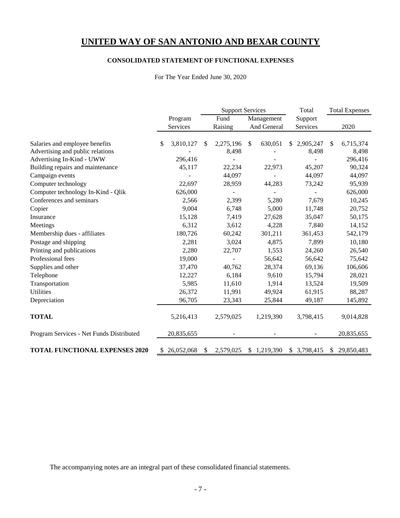#### **CONSOLIDATED STATEMENT OF FUNCTIONAL EXPENSES**

For The Year Ended June 30, 2020

|                                          |                  |     | <b>Support Services</b>      |               | Total       |              | <b>Total Expenses</b> |            |
|------------------------------------------|------------------|-----|------------------------------|---------------|-------------|--------------|-----------------------|------------|
|                                          | Program          |     | Fund                         | Management    |             | Support      |                       |            |
|                                          | Services         |     | Raising                      |               | And General | Services     |                       | 2020       |
| Salaries and employee benefits           | 3,810,127<br>S.  | \$. | 2,275,196                    | <sup>\$</sup> | 630,051     | \$2,905,247  | S                     | 6,715,374  |
| Advertising and public relations         |                  |     | 8,498                        |               |             | 8,498        |                       | 8,498      |
| Advertising In-Kind - UWW                | 296,416          |     |                              |               |             |              |                       | 296,416    |
| Building repairs and maintenance         | 45,117           |     | 22,234                       |               | 22,973      | 45,207       |                       | 90,324     |
| Campaign events                          |                  |     | 44,097                       |               |             | 44,097       |                       | 44,097     |
|                                          |                  |     |                              |               |             |              |                       |            |
| Computer technology                      | 22,697           |     | 28,959                       |               | 44,283      | 73,242       |                       | 95,939     |
| Computer technology In-Kind - Qlik       | 626,000          |     |                              |               |             |              |                       | 626,000    |
| Conferences and seminars                 | 2,566            |     | 2,399                        |               | 5,280       | 7,679        |                       | 10,245     |
| Copier                                   | 9,004            |     | 6,748                        |               | 5,000       | 11,748       |                       | 20,752     |
| Insurance                                | 15,128           |     | 7,419                        |               | 27,628      | 35,047       |                       | 50,175     |
| Meetings                                 | 6,312            |     | 3,612                        |               | 4,228       | 7,840        |                       | 14,152     |
| Membership dues - affiliates             | 180,726          |     | 60,242                       |               | 301,211     | 361,453      |                       | 542,179    |
| Postage and shipping                     | 2,281            |     | 3,024                        |               | 4,875       | 7,899        |                       | 10,180     |
| Printing and publications                | 2,280            |     | 22,707                       |               | 1,553       | 24,260       |                       | 26,540     |
| Professional fees                        | 19,000           |     | $\qquad \qquad \blacksquare$ |               | 56,642      | 56,642       |                       | 75,642     |
| Supplies and other                       | 37,470           |     | 40,762                       |               | 28,374      | 69,136       |                       | 106,606    |
| Telephone                                | 12,227           |     | 6,184                        |               | 9,610       | 15,794       |                       | 28,021     |
| Transportation                           | 5,985            |     | 11,610                       |               | 1,914       | 13,524       |                       | 19,509     |
| <b>Utilities</b>                         | 26,372           |     | 11,991                       |               | 49,924      | 61,915       |                       | 88,287     |
| Depreciation                             | 96,705           |     | 23,343                       |               | 25,844      | 49,187       |                       | 145,892    |
|                                          |                  |     |                              |               |             |              |                       |            |
| <b>TOTAL</b>                             | 5,216,413        |     | 2,579,025                    |               | 1,219,390   | 3,798,415    |                       | 9,014,828  |
| Program Services - Net Funds Distributed | 20,835,655       |     |                              |               |             |              |                       | 20,835,655 |
| <b>TOTAL FUNCTIONAL EXPENSES 2020</b>    | 26,052,068<br>\$ | \$  | 2,579,025                    |               | \$1,219,390 | \$ 3,798,415 | S.                    | 29,850,483 |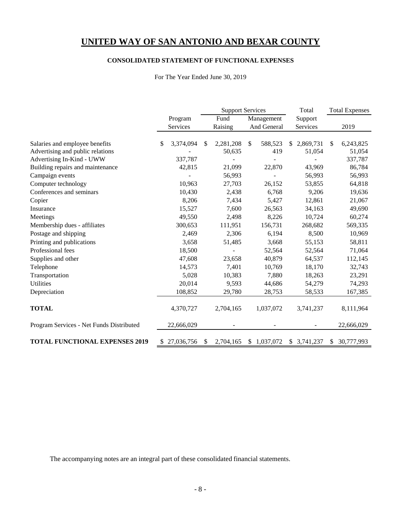#### **CONSOLIDATED STATEMENT OF FUNCTIONAL EXPENSES**

For The Year Ended June 30, 2019

|                                          |                  |      | <b>Support Services</b> |            |             | Total |             | <b>Total Expenses</b> |            |  |         |  |  |
|------------------------------------------|------------------|------|-------------------------|------------|-------------|-------|-------------|-----------------------|------------|--|---------|--|--|
|                                          | Program          | Fund |                         | Management |             |       |             |                       |            |  | Support |  |  |
|                                          | Services         |      | Raising                 |            | And General |       | Services    |                       | 2019       |  |         |  |  |
|                                          |                  |      |                         |            |             |       |             |                       |            |  |         |  |  |
| Salaries and employee benefits           | \$<br>3,374,094  | S    | 2,281,208               | \$         | 588,523     |       | \$2,869,731 | \$                    | 6,243,825  |  |         |  |  |
| Advertising and public relations         |                  |      | 50,635                  |            | 419         |       | 51,054      |                       | 51,054     |  |         |  |  |
| Advertising In-Kind - UWW                | 337,787          |      |                         |            |             |       |             |                       | 337,787    |  |         |  |  |
| Building repairs and maintenance         | 42,815           |      | 21,099                  |            | 22,870      |       | 43,969      |                       | 86,784     |  |         |  |  |
| Campaign events                          |                  |      | 56,993                  |            |             |       | 56,993      |                       | 56,993     |  |         |  |  |
| Computer technology                      | 10,963           |      | 27,703                  |            | 26,152      |       | 53,855      |                       | 64,818     |  |         |  |  |
| Conferences and seminars                 | 10,430           |      | 2,438                   |            | 6,768       |       | 9,206       |                       | 19,636     |  |         |  |  |
| Copier                                   | 8,206            |      | 7,434                   |            | 5,427       |       | 12,861      |                       | 21,067     |  |         |  |  |
| Insurance                                | 15,527           |      | 7,600                   |            | 26,563      |       | 34,163      |                       | 49,690     |  |         |  |  |
| Meetings                                 | 49,550           |      | 2,498                   |            | 8,226       |       | 10,724      |                       | 60,274     |  |         |  |  |
| Membership dues - affiliates             | 300,653          |      | 111,951                 |            | 156,731     |       | 268,682     |                       | 569,335    |  |         |  |  |
| Postage and shipping                     | 2,469            |      | 2,306                   |            | 6,194       |       | 8,500       |                       | 10,969     |  |         |  |  |
| Printing and publications                | 3,658            |      | 51,485                  |            | 3,668       |       | 55,153      |                       | 58,811     |  |         |  |  |
| Professional fees                        | 18,500           |      |                         |            | 52,564      |       | 52,564      |                       | 71,064     |  |         |  |  |
| Supplies and other                       | 47,608           |      | 23,658                  |            | 40,879      |       | 64,537      |                       | 112,145    |  |         |  |  |
| Telephone                                | 14,573           |      | 7,401                   |            | 10,769      |       | 18,170      |                       | 32,743     |  |         |  |  |
| Transportation                           | 5,028            |      | 10,383                  |            | 7,880       |       | 18,263      |                       | 23,291     |  |         |  |  |
| <b>Utilities</b>                         | 20,014           |      | 9,593                   |            | 44,686      |       | 54,279      |                       | 74,293     |  |         |  |  |
| Depreciation                             | 108,852          |      | 29,780                  |            | 28,753      |       | 58,533      |                       | 167,385    |  |         |  |  |
|                                          |                  |      |                         |            |             |       |             |                       |            |  |         |  |  |
| <b>TOTAL</b>                             | 4,370,727        |      | 2,704,165               |            | 1,037,072   |       | 3,741,237   |                       | 8,111,964  |  |         |  |  |
| Program Services - Net Funds Distributed | 22,666,029       |      |                         |            |             |       |             |                       | 22,666,029 |  |         |  |  |
| <b>TOTAL FUNCTIONAL EXPENSES 2019</b>    | \$<br>27,036,756 | \$   | 2,704,165               |            | \$1,037,072 |       | \$3,741,237 | S.                    | 30,777,993 |  |         |  |  |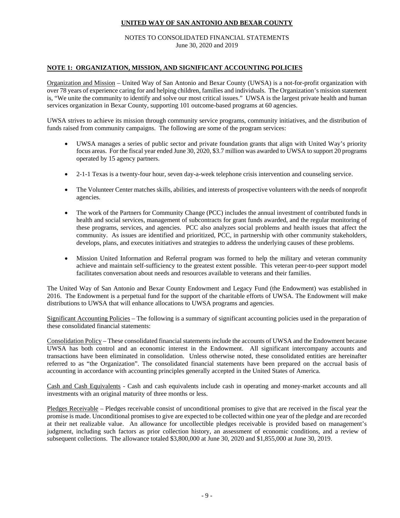#### NOTES TO CONSOLIDATED FINANCIAL STATEMENTS June 30, 2020 and 2019

#### **NOTE 1: ORGANIZATION, MISSION, AND SIGNIFICANT ACCOUNTING POLICIES**

Organization and Mission – United Way of San Antonio and Bexar County (UWSA) is a not-for-profit organization with over 78 years of experience caring for and helping children, families and individuals. The Organization's mission statement is, "We unite the community to identify and solve our most critical issues." UWSA is the largest private health and human services organization in Bexar County, supporting 101 outcome-based programs at 60 agencies.

UWSA strives to achieve its mission through community service programs, community initiatives, and the distribution of funds raised from community campaigns. The following are some of the program services:

- UWSA manages a series of public sector and private foundation grants that align with United Way's priority focus areas. For the fiscal year ended June 30, 2020, \$3.7 million was awarded to UWSA to support 20 programs operated by 15 agency partners.
- 2-1-1 Texas is a twenty-four hour, seven day-a-week telephone crisis intervention and counseling service.
- The Volunteer Center matches skills, abilities, and interests of prospective volunteers with the needs of nonprofit agencies.
- The work of the Partners for Community Change (PCC) includes the annual investment of contributed funds in health and social services, management of subcontracts for grant funds awarded, and the regular monitoring of these programs, services, and agencies. PCC also analyzes social problems and health issues that affect the community. As issues are identified and prioritized, PCC, in partnership with other community stakeholders, develops, plans, and executes initiatives and strategies to address the underlying causes of these problems.
- Mission United Information and Referral program was formed to help the military and veteran community achieve and maintain self-sufficiency to the greatest extent possible. This veteran peer-to-peer support model facilitates conversation about needs and resources available to veterans and their families.

The United Way of San Antonio and Bexar County Endowment and Legacy Fund (the Endowment) was established in 2016. The Endowment is a perpetual fund for the support of the charitable efforts of UWSA. The Endowment will make distributions to UWSA that will enhance allocations to UWSA programs and agencies.

Significant Accounting Policies – The following is a summary of significant accounting policies used in the preparation of these consolidated financial statements:

Consolidation Policy – These consolidated financial statements include the accounts of UWSA and the Endowment because UWSA has both control and an economic interest in the Endowment. All significant intercompany accounts and transactions have been eliminated in consolidation. Unless otherwise noted, these consolidated entities are hereinafter referred to as "the Organization". The consolidated financial statements have been prepared on the accrual basis of accounting in accordance with accounting principles generally accepted in the United States of America.

Cash and Cash Equivalents - Cash and cash equivalents include cash in operating and money-market accounts and all investments with an original maturity of three months or less.

Pledges Receivable – Pledges receivable consist of unconditional promises to give that are received in the fiscal year the promise is made. Unconditional promises to give are expected to be collected within one year of the pledge and are recorded at their net realizable value. An allowance for uncollectible pledges receivable is provided based on management's judgment, including such factors as prior collection history, an assessment of economic conditions, and a review of subsequent collections. The allowance totaled \$3,800,000 at June 30, 2020 and \$1,855,000 at June 30, 2019.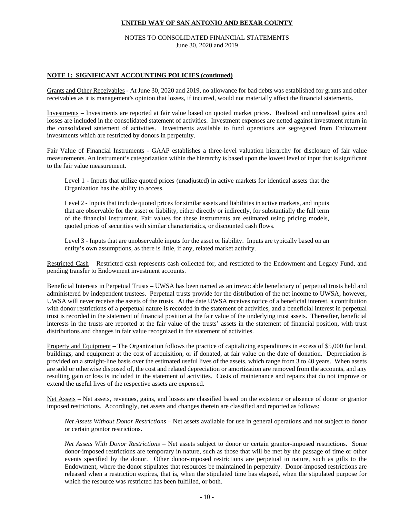#### NOTES TO CONSOLIDATED FINANCIAL STATEMENTS June 30, 2020 and 2019

#### **NOTE 1: SIGNIFICANT ACCOUNTING POLICIES (continued)**

Grants and Other Receivables - At June 30, 2020 and 2019, no allowance for bad debts was established for grants and other receivables as it is management's opinion that losses, if incurred, would not materially affect the financial statements.

Investments – Investments are reported at fair value based on quoted market prices. Realized and unrealized gains and losses are included in the consolidated statement of activities. Investment expenses are netted against investment return in the consolidated statement of activities. Investments available to fund operations are segregated from Endowment investments which are restricted by donors in perpetuity.

Fair Value of Financial Instruments - GAAP establishes a three-level valuation hierarchy for disclosure of fair value measurements. An instrument's categorization within the hierarchy is based upon the lowest level of input that is significant to the fair value measurement.

Level 1 - Inputs that utilize quoted prices (unadjusted) in active markets for identical assets that the Organization has the ability to access.

Level 2 - Inputs that include quoted prices for similar assets and liabilities in active markets, and inputs that are observable for the asset or liability, either directly or indirectly, for substantially the full term of the financial instrument. Fair values for these instruments are estimated using pricing models, quoted prices of securities with similar characteristics, or discounted cash flows.

Level 3 - Inputs that are unobservable inputs for the asset or liability. Inputs are typically based on an entity's own assumptions, as there is little, if any, related market activity.

Restricted Cash – Restricted cash represents cash collected for, and restricted to the Endowment and Legacy Fund, and pending transfer to Endowment investment accounts.

Beneficial Interests in Perpetual Trusts – UWSA has been named as an irrevocable beneficiary of perpetual trusts held and administered by independent trustees. Perpetual trusts provide for the distribution of the net income to UWSA; however, UWSA will never receive the assets of the trusts. At the date UWSA receives notice of a beneficial interest, a contribution with donor restrictions of a perpetual nature is recorded in the statement of activities, and a beneficial interest in perpetual trust is recorded in the statement of financial position at the fair value of the underlying trust assets. Thereafter, beneficial interests in the trusts are reported at the fair value of the trusts' assets in the statement of financial position, with trust distributions and changes in fair value recognized in the statement of activities.

Property and Equipment – The Organization follows the practice of capitalizing expenditures in excess of \$5,000 for land, buildings, and equipment at the cost of acquisition, or if donated, at fair value on the date of donation. Depreciation is provided on a straight-line basis over the estimated useful lives of the assets, which range from 3 to 40 years. When assets are sold or otherwise disposed of, the cost and related depreciation or amortization are removed from the accounts, and any resulting gain or loss is included in the statement of activities. Costs of maintenance and repairs that do not improve or extend the useful lives of the respective assets are expensed.

Net Assets – Net assets, revenues, gains, and losses are classified based on the existence or absence of donor or grantor imposed restrictions. Accordingly, net assets and changes therein are classified and reported as follows:

*Net Assets Without Donor Restrictions* – Net assets available for use in general operations and not subject to donor or certain grantor restrictions.

*Net Assets With Donor Restrictions –* Net assets subject to donor or certain grantor-imposed restrictions. Some donor-imposed restrictions are temporary in nature, such as those that will be met by the passage of time or other events specified by the donor. Other donor-imposed restrictions are perpetual in nature, such as gifts to the Endowment, where the donor stipulates that resources be maintained in perpetuity. Donor-imposed restrictions are released when a restriction expires, that is, when the stipulated time has elapsed, when the stipulated purpose for which the resource was restricted has been fulfilled, or both.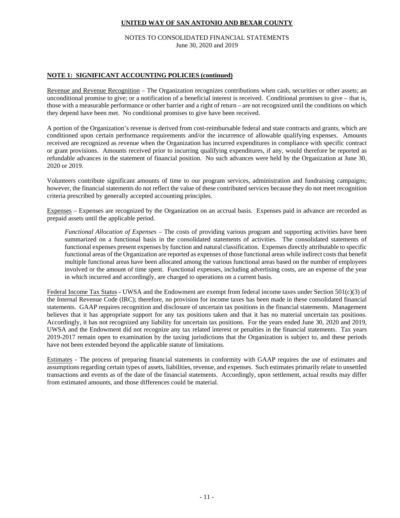NOTES TO CONSOLIDATED FINANCIAL STATEMENTS June 30, 2020 and 2019

#### **NOTE 1: SIGNIFICANT ACCOUNTING POLICIES (continued)**

Revenue and Revenue Recognition – The Organization recognizes contributions when cash, securities or other assets; an unconditional promise to give; or a notification of a beneficial interest is received. Conditional promises to give – that is, those with a measurable performance or other barrier and a right of return – are not recognized until the conditions on which they depend have been met. No conditional promises to give have been received.

A portion of the Organization's revenue is derived from cost-reimbursable federal and state contracts and grants, which are conditioned upon certain performance requirements and/or the incurrence of allowable qualifying expenses. Amounts received are recognized as revenue when the Organization has incurred expenditures in compliance with specific contract or grant provisions. Amounts received prior to incurring qualifying expenditures, if any, would therefore be reported as refundable advances in the statement of financial position. No such advances were held by the Organization at June 30, 2020 or 2019.

Volunteers contribute significant amounts of time to our program services, administration and fundraising campaigns; however, the financial statements do not reflect the value of these contributed services because they do not meet recognition criteria prescribed by generally accepted accounting principles.

Expenses – Expenses are recognized by the Organization on an accrual basis. Expenses paid in advance are recorded as prepaid assets until the applicable period.

*Functional Allocation of Expenses* – The costs of providing various program and supporting activities have been summarized on a functional basis in the consolidated statements of activities. The consolidated statements of functional expenses present expenses by function and natural classification. Expenses directly attributable to specific functional areas of the Organization are reported as expenses of those functional areas while indirect costs that benefit multiple functional areas have been allocated among the various functional areas based on the number of employees involved or the amount of time spent. Functional expenses, including advertising costs, are an expense of the year in which incurred and accordingly, are charged to operations on a current basis.

Federal Income Tax Status - UWSA and the Endowment are exempt from federal income taxes under Section 501(c)(3) of the Internal Revenue Code (IRC); therefore, no provision for income taxes has been made in these consolidated financial statements. GAAP requires recognition and disclosure of uncertain tax positions in the financial statements. Management believes that it has appropriate support for any tax positions taken and that it has no material uncertain tax positions. Accordingly, it has not recognized any liability for uncertain tax positions. For the years ended June 30, 2020 and 2019, UWSA and the Endowment did not recognize any tax related interest or penalties in the financial statements. Tax years 2019-2017 remain open to examination by the taxing jurisdictions that the Organization is subject to, and these periods have not been extended beyond the applicable statute of limitations.

Estimates - The process of preparing financial statements in conformity with GAAP requires the use of estimates and assumptions regarding certain types of assets, liabilities, revenue, and expenses. Such estimates primarily relate to unsettled transactions and events as of the date of the financial statements. Accordingly, upon settlement, actual results may differ from estimated amounts, and those differences could be material.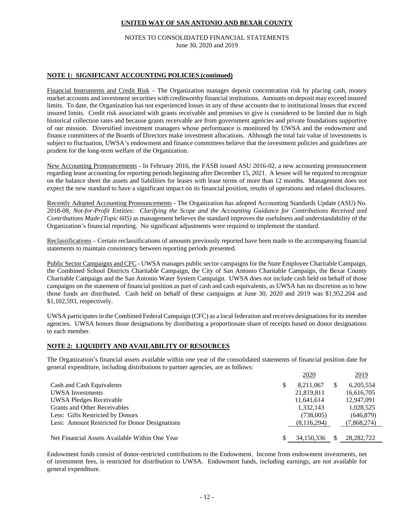#### NOTES TO CONSOLIDATED FINANCIAL STATEMENTS June 30, 2020 and 2019

#### **NOTE 1: SIGNIFICANT ACCOUNTING POLICIES (continued)**

Financial Instruments and Credit Risk – The Organization manages deposit concentration risk by placing cash, money market accounts and investment securities with creditworthy financial institutions. Amounts on deposit may exceed insured limits. To date, the Organization has not experienced losses in any of these accounts due to institutional losses that exceed insured limits. Credit risk associated with grants receivable and promises to give is considered to be limited due to high historical collection rates and because grants receivable are from government agencies and private foundations supportive of our mission. Diversified investment managers whose performance is monitored by UWSA and the endowment and finance committees of the Boards of Directors make investment allocations. Although the total fair value of investments is subject to fluctuation, UWSA's endowment and finance committees believe that the investment policies and guidelines are prudent for the long-term welfare of the Organization.

New Accounting Pronouncements - In February 2016, the FASB issued ASU 2016-02, a new accounting pronouncement regarding lease accounting for reporting periods beginning after December 15, 2021. A lessee will be required to recognize on the balance sheet the assets and liabilities for leases with lease terms of more than 12 months. Management does not expect the new standard to have a significant impact on its financial position, results of operations and related disclosures.

Recently Adopted Accounting Pronouncements - The Organization has adopted Accounting Standards Update (ASU) No. 2018-08, *Not-for-Profit Entities: Clarifying the Scope and the Accounting Guidance for Contributions Received and Contributions Made (Topic 605)* as management believes the standard improves the usefulness and understandability of the Organization's financial reporting. No significant adjustments were required to implement the standard.

Reclassifications – Certain reclassifications of amounts previously reported have been made to the accompanying financial statements to maintain consistency between reporting periods presented.

Public Sector Campaigns and CFC - UWSA manages public sector campaigns for the State Employee Charitable Campaign, the Combined School Districts Charitable Campaign, the City of San Antonio Charitable Campaign, the Bexar County Charitable Campaign and the San Antonio Water System Campaign. UWSA does not include cash held on behalf of those campaigns on the statement of financial position as part of cash and cash equivalents, as UWSA has no discretion as to how those funds are distributed. Cash held on behalf of these campaigns at June 30, 2020 and 2019 was \$1,952,204 and \$1,102,593, respectively.

UWSA participates in the Combined Federal Campaign (CFC) as a local federation and receives designations for its member agencies. UWSA honors those designations by distributing a proportionate share of receipts based on donor designations to each member.

#### **NOTE 2: LIQUIDITY AND AVAILABILITY OF RESOURCES**

The Organization's financial assets available within one year of the consolidated statements of financial position date for general expenditure, including distributions to partner agencies, are as follows:

|                                                | <u>2020</u> | 2019        |
|------------------------------------------------|-------------|-------------|
| Cash and Cash Equivalents                      | 8.211.067   | 6,205,554   |
| UWSA Investments                               | 21,819,811  | 16,616,705  |
| <b>UWSA Pledges Receivable</b>                 | 11,641,614  | 12,947,091  |
| <b>Grants and Other Receivables</b>            | 1,332,143   | 1,028,525   |
| Less: Gifts Restricted by Donors               | (738,005)   | (646, 879)  |
| Less: Amount Restricted for Donor Designations | (8,116,294) | (7,868,274) |
|                                                |             |             |
| Net Financial Assets Available Within One Year | 34,150,336  | 28.282.722  |

Endowment funds consist of donor-restricted contributions to the Endowment. Income from endowment investments, net of investment fees, is restricted for distribution to UWSA. Endowment funds, including earnings, are not available for general expenditure.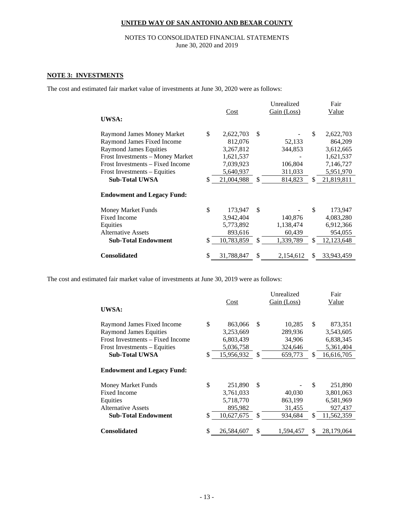#### NOTES TO CONSOLIDATED FINANCIAL STATEMENTS June 30, 2020 and 2019

#### **NOTE 3: INVESTMENTS**

The cost and estimated fair market value of investments at June 30, 2020 were as follows:

|                                   |                  | Unrealized      | Fair               |
|-----------------------------------|------------------|-----------------|--------------------|
|                                   | Cost             | Gain (Loss)     | <u>Value</u>       |
| <b>UWSA:</b>                      |                  |                 |                    |
| Raymond James Money Market        | \$<br>2,622,703  | \$              | \$<br>2,622,703    |
| Raymond James Fixed Income        | 812,076          | 52,133          | 864,209            |
| <b>Raymond James Equities</b>     | 3,267,812        | 344,853         | 3,612,665          |
| Frost Investments - Money Market  | 1,621,537        |                 | 1,621,537          |
| Frost Investments – Fixed Income  | 7,039,923        | 106,804         | 7,146,727          |
| Frost Investments – Equities      | 5,640,937        | 311,033         | 5,951,970          |
| <b>Sub-Total UWSA</b>             | \$<br>21,004,988 | \$<br>814,823   | \$<br>21,819,811   |
|                                   |                  |                 |                    |
| <b>Endowment and Legacy Fund:</b> |                  |                 |                    |
| Money Market Funds                | \$<br>173,947    | \$              | \$<br>173,947      |
| <b>Fixed Income</b>               | 3,942,404        | 140,876         | 4,083,280          |
| Equities                          | 5,773,892        | 1,138,474       | 6,912,366          |
| <b>Alternative Assets</b>         | 893,616          | 60,439          | 954,055            |
| <b>Sub-Total Endowment</b>        | \$<br>10,783,859 | \$<br>1,339,789 | \$<br>12, 123, 648 |
|                                   |                  |                 |                    |
| <b>Consolidated</b>               | \$<br>31,788,847 | \$<br>2,154,612 | \$<br>33,943,459   |

The cost and estimated fair market value of investments at June 30, 2019 were as follows:

|                                   |                  |               | Unrealized  |     | Fair       |
|-----------------------------------|------------------|---------------|-------------|-----|------------|
|                                   | Cost             |               | Gain (Loss) |     | Value      |
| UWSA:                             |                  |               |             |     |            |
| Raymond James Fixed Income        | \$<br>863,066    | <b>S</b>      | 10,285      | \$  | 873,351    |
| <b>Raymond James Equities</b>     | 3,253,669        |               | 289,936     |     | 3,543,605  |
| Frost Investments – Fixed Income  | 6,803,439        |               | 34,906      |     | 6,838,345  |
| Frost Investments - Equities      | 5,036,758        |               | 324,646     |     | 5,361,404  |
| <b>Sub-Total UWSA</b>             | \$<br>15,956,932 | \$            | 659,773     | \$. | 16,616,705 |
| <b>Endowment and Legacy Fund:</b> |                  |               |             |     |            |
| Money Market Funds                | \$<br>251,890    | <sup>\$</sup> |             | \$  | 251,890    |
| <b>Fixed Income</b>               | 3,761,033        |               | 40,030      |     | 3,801,063  |
| Equities                          | 5,718,770        |               | 863,199     |     | 6,581,969  |
| <b>Alternative Assets</b>         | 895,982          |               | 31,455      |     | 927,437    |
| <b>Sub-Total Endowment</b>        | \$<br>10,627,675 | -S            | 934,684     | \$. | 11,562,359 |
| <b>Consolidated</b>               | \$<br>26,584,607 | \$            | 1,594,457   | \$. | 28,179,064 |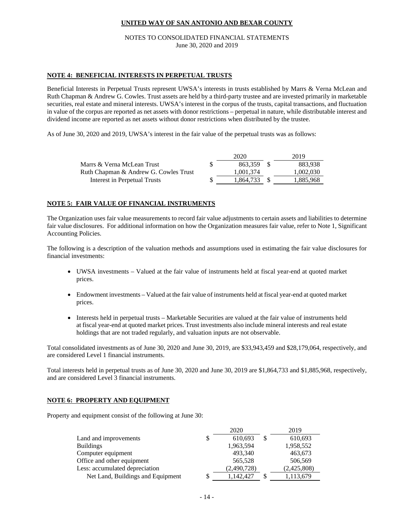#### NOTES TO CONSOLIDATED FINANCIAL STATEMENTS June 30, 2020 and 2019

#### **NOTE 4: BENEFICIAL INTERESTS IN PERPETUAL TRUSTS**

Beneficial Interests in Perpetual Trusts represent UWSA's interests in trusts established by Marrs & Verna McLean and Ruth Chapman & Andrew G. Cowles. Trust assets are held by a third-party trustee and are invested primarily in marketable securities, real estate and mineral interests. UWSA's interest in the corpus of the trusts, capital transactions, and fluctuation in value of the corpus are reported as net assets with donor restrictions – perpetual in nature, while distributable interest and dividend income are reported as net assets without donor restrictions when distributed by the trustee.

As of June 30, 2020 and 2019, UWSA's interest in the fair value of the perpetual trusts was as follows:

|                                       | 2020      | 2019      |
|---------------------------------------|-----------|-----------|
| Marrs & Verna McLean Trust            | 863.359   | 883.938   |
| Ruth Chapman & Andrew G. Cowles Trust | 1,001,374 | 1.002.030 |
| Interest in Perpetual Trusts          | 1.864.733 | 1.885.968 |

#### **NOTE 5: FAIR VALUE OF FINANCIAL INSTRUMENTS**

The Organization uses fair value measurements to record fair value adjustments to certain assets and liabilities to determine fair value disclosures. For additional information on how the Organization measures fair value, refer to Note 1, Significant Accounting Policies.

The following is a description of the valuation methods and assumptions used in estimating the fair value disclosures for financial investments:

- UWSA investments Valued at the fair value of instruments held at fiscal year-end at quoted market prices.
- Endowment investments Valued at the fair value of instruments held at fiscal year-end at quoted market prices.
- Interests held in perpetual trusts Marketable Securities are valued at the fair value of instruments held at fiscal year-end at quoted market prices. Trust investments also include mineral interests and real estate holdings that are not traded regularly, and valuation inputs are not observable.

Total consolidated investments as of June 30, 2020 and June 30, 2019, are \$33,943,459 and \$28,179,064, respectively, and are considered Level 1 financial instruments.

Total interests held in perpetual trusts as of June 30, 2020 and June 30, 2019 are \$1,864,733 and \$1,885,968, respectively, and are considered Level 3 financial instruments.

#### **NOTE 6: PROPERTY AND EQUIPMENT**

Property and equipment consist of the following at June 30:

|                                   |    | 2020        | 2019          |
|-----------------------------------|----|-------------|---------------|
| Land and improvements             | \$ | 610,693     | \$<br>610,693 |
| <b>Buildings</b>                  |    | 1,963,594   | 1,958,552     |
| Computer equipment                |    | 493,340     | 463,673       |
| Office and other equipment        |    | 565,528     | 506,569       |
| Less: accumulated depreciation    |    | (2,490,728) | (2,425,808)   |
| Net Land, Buildings and Equipment | S  | 1,142,427   | 1,113,679     |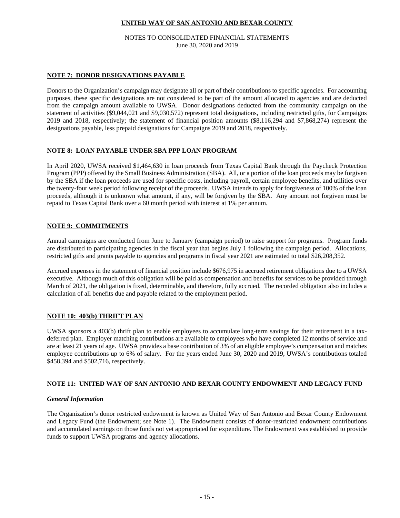NOTES TO CONSOLIDATED FINANCIAL STATEMENTS June 30, 2020 and 2019

#### **NOTE 7: DONOR DESIGNATIONS PAYABLE**

Donors to the Organization's campaign may designate all or part of their contributions to specific agencies. For accounting purposes, these specific designations are not considered to be part of the amount allocated to agencies and are deducted from the campaign amount available to UWSA. Donor designations deducted from the community campaign on the statement of activities (\$9,044,021 and \$9,030,572) represent total designations, including restricted gifts, for Campaigns 2019 and 2018, respectively; the statement of financial position amounts (\$8,116,294 and \$7,868,274) represent the designations payable, less prepaid designations for Campaigns 2019 and 2018, respectively.

#### **NOTE 8: LOAN PAYABLE UNDER SBA PPP LOAN PROGRAM**

In April 2020, UWSA received \$1,464,630 in loan proceeds from Texas Capital Bank through the Paycheck Protection Program (PPP) offered by the Small Business Administration (SBA). All, or a portion of the loan proceeds may be forgiven by the SBA if the loan proceeds are used for specific costs, including payroll, certain employee benefits, and utilities over the twenty-four week period following receipt of the proceeds. UWSA intends to apply for forgiveness of 100% of the loan proceeds, although it is unknown what amount, if any, will be forgiven by the SBA. Any amount not forgiven must be repaid to Texas Capital Bank over a 60 month period with interest at 1% per annum.

#### **NOTE 9: COMMITMENTS**

Annual campaigns are conducted from June to January (campaign period) to raise support for programs. Program funds are distributed to participating agencies in the fiscal year that begins July 1 following the campaign period. Allocations, restricted gifts and grants payable to agencies and programs in fiscal year 2021 are estimated to total \$26,208,352.

Accrued expenses in the statement of financial position include \$676,975 in accrued retirement obligations due to a UWSA executive. Although much of this obligation will be paid as compensation and benefits for services to be provided through March of 2021, the obligation is fixed, determinable, and therefore, fully accrued. The recorded obligation also includes a calculation of all benefits due and payable related to the employment period.

#### **NOTE 10: 403(b) THRIFT PLAN**

UWSA sponsors a 403(b) thrift plan to enable employees to accumulate long-term savings for their retirement in a taxdeferred plan. Employer matching contributions are available to employees who have completed 12 months of service and are at least 21 years of age. UWSA provides a base contribution of 3% of an eligible employee's compensation and matches employee contributions up to 6% of salary. For the years ended June 30, 2020 and 2019, UWSA's contributions totaled \$458,394 and \$502,716, respectively.

#### **NOTE 11: UNITED WAY OF SAN ANTONIO AND BEXAR COUNTY ENDOWMENT AND LEGACY FUND**

#### *General Information*

The Organization's donor restricted endowment is known as United Way of San Antonio and Bexar County Endowment and Legacy Fund (the Endowment; see Note 1). The Endowment consists of donor-restricted endowment contributions and accumulated earnings on those funds not yet appropriated for expenditure. The Endowment was established to provide funds to support UWSA programs and agency allocations.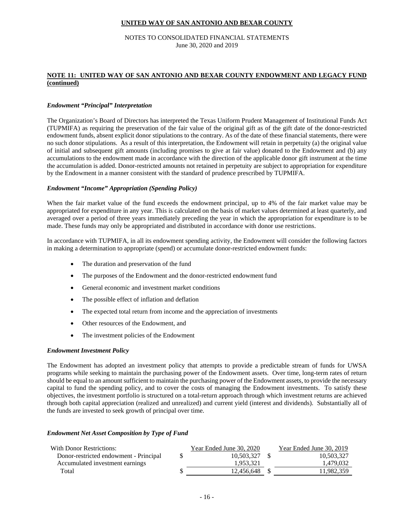#### NOTES TO CONSOLIDATED FINANCIAL STATEMENTS June 30, 2020 and 2019

#### **NOTE 11: UNITED WAY OF SAN ANTONIO AND BEXAR COUNTY ENDOWMENT AND LEGACY FUND (continued)**

#### *Endowment "Principal" Interpretation*

The Organization's Board of Directors has interpreted the Texas Uniform Prudent Management of Institutional Funds Act (TUPMIFA) as requiring the preservation of the fair value of the original gift as of the gift date of the donor-restricted endowment funds, absent explicit donor stipulations to the contrary. As of the date of these financial statements, there were no such donor stipulations. As a result of this interpretation, the Endowment will retain in perpetuity (a) the original value of initial and subsequent gift amounts (including promises to give at fair value) donated to the Endowment and (b) any accumulations to the endowment made in accordance with the direction of the applicable donor gift instrument at the time the accumulation is added. Donor-restricted amounts not retained in perpetuity are subject to appropriation for expenditure by the Endowment in a manner consistent with the standard of prudence prescribed by TUPMIFA.

#### *Endowment "Income" Appropriation (Spending Policy)*

When the fair market value of the fund exceeds the endowment principal, up to 4% of the fair market value may be appropriated for expenditure in any year. This is calculated on the basis of market values determined at least quarterly, and averaged over a period of three years immediately preceding the year in which the appropriation for expenditure is to be made. These funds may only be appropriated and distributed in accordance with donor use restrictions.

In accordance with TUPMIFA, in all its endowment spending activity, the Endowment will consider the following factors in making a determination to appropriate (spend) or accumulate donor-restricted endowment funds:

- The duration and preservation of the fund
- The purposes of the Endowment and the donor-restricted endowment fund
- General economic and investment market conditions
- The possible effect of inflation and deflation
- The expected total return from income and the appreciation of investments
- Other resources of the Endowment, and
- The investment policies of the Endowment

#### *Endowment Investment Policy*

The Endowment has adopted an investment policy that attempts to provide a predictable stream of funds for UWSA programs while seeking to maintain the purchasing power of the Endowment assets. Over time, long-term rates of return should be equal to an amount sufficient to maintain the purchasing power of the Endowment assets, to provide the necessary capital to fund the spending policy, and to cover the costs of managing the Endowment investments. To satisfy these objectives, the investment portfolio is structured on a total-return approach through which investment returns are achieved through both capital appreciation (realized and unrealized) and current yield (interest and dividends). Substantially all of the funds are invested to seek growth of principal over time.

#### *Endowment Net Asset Composition by Type of Fund*

| With Donor Restrictions:               | Year Ended June 30, 2020 | Year Ended June 30, 2019 |
|----------------------------------------|--------------------------|--------------------------|
| Donor-restricted endowment - Principal | 10.503.327               | 10,503,327               |
| Accumulated investment earnings        | 1.953.321                | 1.479.032                |
| Total                                  | 12.456.648               | 11,982,359               |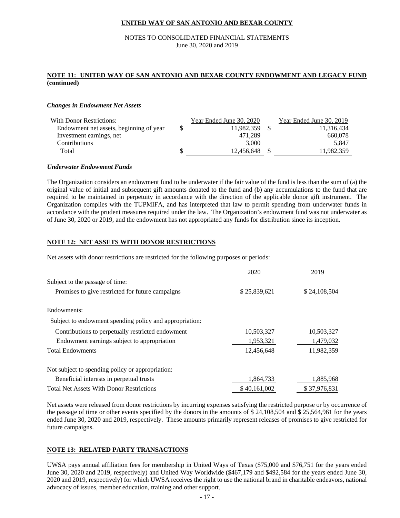#### NOTES TO CONSOLIDATED FINANCIAL STATEMENTS June 30, 2020 and 2019

#### **NOTE 11: UNITED WAY OF SAN ANTONIO AND BEXAR COUNTY ENDOWMENT AND LEGACY FUND (continued)**

#### *Changes in Endowment Net Assets*

| <b>With Donor Restrictions:</b>         |   | Year Ended June 30, 2020 | Year Ended June 30, 2019 |
|-----------------------------------------|---|--------------------------|--------------------------|
| Endowment net assets, beginning of year | S | 11.982.359               | 11.316.434               |
| Investment earnings, net                |   | 471.289                  | 660,078                  |
| Contributions                           |   | 3.000                    | 5.847                    |
| Total                                   | S | 12.456.648               | 11.982.359               |
|                                         |   |                          |                          |

#### *Underwater Endowment Funds*

The Organization considers an endowment fund to be underwater if the fair value of the fund is less than the sum of (a) the original value of initial and subsequent gift amounts donated to the fund and (b) any accumulations to the fund that are required to be maintained in perpetuity in accordance with the direction of the applicable donor gift instrument. The Organization complies with the TUPMIFA, and has interpreted that law to permit spending from underwater funds in accordance with the prudent measures required under the law. The Organization's endowment fund was not underwater as of June 30, 2020 or 2019, and the endowment has not appropriated any funds for distribution since its inception.

#### **NOTE 12: NET ASSETS WITH DONOR RESTRICTIONS**

Net assets with donor restrictions are restricted for the following purposes or periods:

|                                                         | 2020         | 2019         |
|---------------------------------------------------------|--------------|--------------|
| Subject to the passage of time:                         |              |              |
| Promises to give restricted for future campaigns        | \$25,839,621 | \$24,108,504 |
| Endowments:                                             |              |              |
| Subject to endowment spending policy and appropriation: |              |              |
| Contributions to perpetually restricted endowment       | 10,503,327   | 10,503,327   |
| Endowment earnings subject to appropriation             | 1,953,321    | 1,479,032    |
| <b>Total Endowments</b>                                 | 12,456,648   | 11,982,359   |
| Not subject to spending policy or appropriation:        |              |              |
| Beneficial interests in perpetual trusts                | 1,864,733    | 1,885,968    |
| <b>Total Net Assets With Donor Restrictions</b>         | \$40,161,002 | \$37,976,831 |

Net assets were released from donor restrictions by incurring expenses satisfying the restricted purpose or by occurrence of the passage of time or other events specified by the donors in the amounts of \$ 24,108,504 and \$ 25,564,961 for the years ended June 30, 2020 and 2019, respectively. These amounts primarily represent releases of promises to give restricted for future campaigns.

#### **NOTE 13: RELATED PARTY TRANSACTIONS**

UWSA pays annual affiliation fees for membership in United Ways of Texas (\$75,000 and \$76,751 for the years ended June 30, 2020 and 2019, respectively) and United Way Worldwide (\$467,179 and \$492,584 for the years ended June 30, 2020 and 2019, respectively) for which UWSA receives the right to use the national brand in charitable endeavors, national advocacy of issues, member education, training and other support.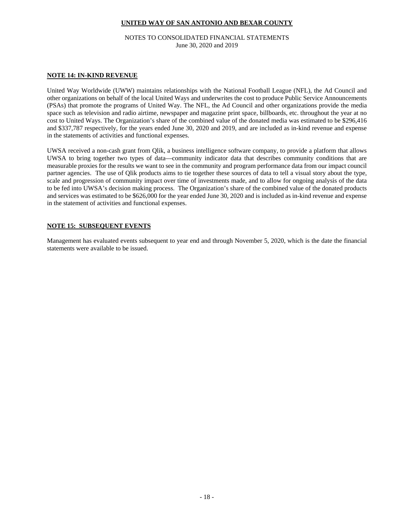#### NOTES TO CONSOLIDATED FINANCIAL STATEMENTS June 30, 2020 and 2019

#### **NOTE 14: IN-KIND REVENUE**

United Way Worldwide (UWW) maintains relationships with the National Football League (NFL), the Ad Council and other organizations on behalf of the local United Ways and underwrites the cost to produce Public Service Announcements (PSAs) that promote the programs of United Way. The NFL, the Ad Council and other organizations provide the media space such as television and radio airtime, newspaper and magazine print space, billboards, etc. throughout the year at no cost to United Ways. The Organization's share of the combined value of the donated media was estimated to be \$296,416 and \$337,787 respectively, for the years ended June 30, 2020 and 2019, and are included as in-kind revenue and expense in the statements of activities and functional expenses.

UWSA received a non-cash grant from Qlik, a business intelligence software company, to provide a platform that allows UWSA to bring together two types of data—community indicator data that describes community conditions that are measurable proxies for the results we want to see in the community and program performance data from our impact council partner agencies. The use of Qlik products aims to tie together these sources of data to tell a visual story about the type, scale and progression of community impact over time of investments made, and to allow for ongoing analysis of the data to be fed into UWSA's decision making process. The Organization's share of the combined value of the donated products and services was estimated to be \$626,000 for the year ended June 30, 2020 and is included as in-kind revenue and expense in the statement of activities and functional expenses.

#### **NOTE 15: SUBSEQUENT EVENTS**

Management has evaluated events subsequent to year end and through November 5, 2020, which is the date the financial statements were available to be issued.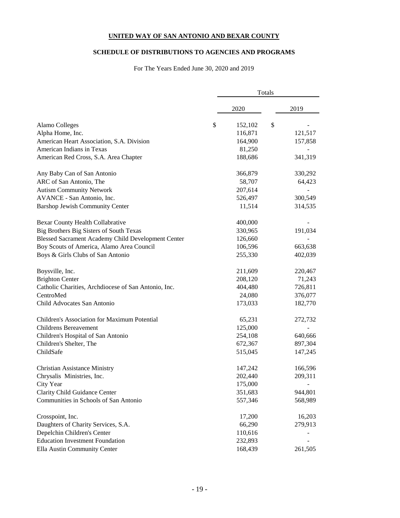#### **SCHEDULE OF DISTRIBUTIONS TO AGENCIES AND PROGRAMS**

For The Years Ended June 30, 2020 and 2019

|                                                      | Totals |         |    |         |  |
|------------------------------------------------------|--------|---------|----|---------|--|
|                                                      |        | 2020    |    | 2019    |  |
| Alamo Colleges                                       | \$     | 152,102 | \$ |         |  |
| Alpha Home, Inc.                                     |        | 116,871 |    | 121,517 |  |
| American Heart Association, S.A. Division            |        | 164,900 |    | 157,858 |  |
| American Indians in Texas                            |        | 81,250  |    |         |  |
| American Red Cross, S.A. Area Chapter                |        | 188,686 |    | 341,319 |  |
| Any Baby Can of San Antonio                          |        | 366,879 |    | 330,292 |  |
| ARC of San Antonio, The                              |        | 58,707  |    | 64,423  |  |
| <b>Autism Community Network</b>                      |        | 207,614 |    |         |  |
| AVANCE - San Antonio, Inc.                           |        | 526,497 |    | 300,549 |  |
| <b>Barshop Jewish Community Center</b>               |        | 11,514  |    | 314,535 |  |
| Bexar County Health Collabrative                     |        | 400,000 |    |         |  |
| Big Brothers Big Sisters of South Texas              |        | 330,965 |    | 191,034 |  |
| Blessed Sacrament Academy Child Development Center   |        | 126,660 |    |         |  |
| Boy Scouts of America, Alamo Area Council            |        | 106,596 |    | 663,638 |  |
| Boys & Girls Clubs of San Antonio                    |        | 255,330 |    | 402,039 |  |
| Boysville, Inc.                                      |        | 211,609 |    | 220,467 |  |
| <b>Brighton Center</b>                               |        | 208,120 |    | 71,243  |  |
| Catholic Charities, Archdiocese of San Antonio, Inc. |        | 404,480 |    | 726,811 |  |
| CentroMed                                            |        | 24,080  |    | 376,077 |  |
| Child Advocates San Antonio                          |        | 173,033 |    | 182,770 |  |
| Children's Association for Maximum Potential         |        | 65,231  |    | 272,732 |  |
| <b>Childrens Bereavement</b>                         |        | 125,000 |    |         |  |
| Children's Hospital of San Antonio                   |        | 254,108 |    | 640,666 |  |
| Children's Shelter, The                              |        | 672,367 |    | 897,304 |  |
| ChildSafe                                            |        | 515,045 |    | 147,245 |  |
| <b>Christian Assistance Ministry</b>                 |        | 147,242 |    | 166,596 |  |
| Chrysalis Ministries, Inc.                           |        | 202,440 |    | 209,311 |  |
| City Year                                            |        | 175,000 |    |         |  |
| Clarity Child Guidance Center                        |        | 351,683 |    | 944,801 |  |
| Communities in Schools of San Antonio                |        | 557,346 |    | 568,989 |  |
| Crosspoint, Inc.                                     |        | 17,200  |    | 16,203  |  |
| Daughters of Charity Services, S.A.                  |        | 66,290  |    | 279,913 |  |
| Depelchin Children's Center                          |        | 110,616 |    |         |  |
| <b>Education Investment Foundation</b>               |        | 232,893 |    |         |  |
| Ella Austin Community Center                         |        | 168,439 |    | 261,505 |  |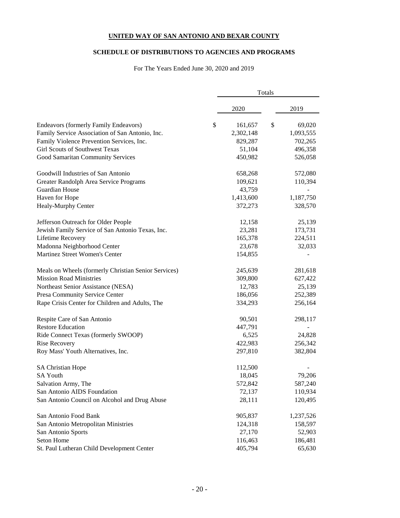#### **SCHEDULE OF DISTRIBUTIONS TO AGENCIES AND PROGRAMS**

For The Years Ended June 30, 2020 and 2019

|                                                      | Totals |           |    |           |  |
|------------------------------------------------------|--------|-----------|----|-----------|--|
|                                                      |        | 2020      |    | 2019      |  |
| Endeavors (formerly Family Endeavors)                | \$     | 161,657   | \$ | 69,020    |  |
| Family Service Association of San Antonio, Inc.      |        | 2,302,148 |    | 1,093,555 |  |
| Family Violence Prevention Services, Inc.            |        | 829,287   |    | 702,265   |  |
| Girl Scouts of Southwest Texas                       |        | 51,104    |    | 496,358   |  |
| Good Samaritan Community Services                    |        | 450,982   |    | 526,058   |  |
| Goodwill Industries of San Antonio                   |        | 658,268   |    | 572,080   |  |
| Greater Randolph Area Service Programs               |        | 109,621   |    | 110,394   |  |
| Guardian House                                       |        | 43,759    |    |           |  |
| Haven for Hope                                       |        | 1,413,600 |    | 1,187,750 |  |
| Healy-Murphy Center                                  |        | 372,273   |    | 328,570   |  |
| Jefferson Outreach for Older People                  |        | 12,158    |    | 25,139    |  |
| Jewish Family Service of San Antonio Texas, Inc.     |        | 23,281    |    | 173,731   |  |
| Lifetime Recovery                                    |        | 165,378   |    | 224,511   |  |
| Madonna Neighborhood Center                          |        | 23,678    |    | 32,033    |  |
| Martinez Street Women's Center                       |        | 154,855   |    |           |  |
| Meals on Wheels (formerly Christian Senior Services) |        | 245,639   |    | 281,618   |  |
| <b>Mission Road Ministries</b>                       |        | 309,800   |    | 627,422   |  |
| Northeast Senior Assistance (NESA)                   |        | 12,783    |    | 25,139    |  |
| Presa Community Service Center                       |        | 186,056   |    | 252,389   |  |
| Rape Crisis Center for Children and Adults, The      |        | 334,293   |    | 256,164   |  |
| Respite Care of San Antonio                          |        | 90,501    |    | 298,117   |  |
| <b>Restore Education</b>                             |        | 447,791   |    |           |  |
| Ride Connect Texas (formerly SWOOP)                  |        | 6,525     |    | 24,828    |  |
| <b>Rise Recovery</b>                                 |        | 422,983   |    | 256,342   |  |
| Roy Mass' Youth Alternatives, Inc.                   |        | 297,810   |    | 382,804   |  |
| <b>SA Christian Hope</b>                             |        | 112,500   |    |           |  |
| <b>SA Youth</b>                                      |        | 18,045    |    | 79,206    |  |
| Salvation Army, The                                  |        | 572,842   |    | 587,240   |  |
| San Antonio AIDS Foundation                          |        | 72,137    |    | 110,934   |  |
| San Antonio Council on Alcohol and Drug Abuse        |        | 28,111    |    | 120,495   |  |
| San Antonio Food Bank                                |        | 905,837   |    | 1,237,526 |  |
| San Antonio Metropolitan Ministries                  |        | 124,318   |    | 158,597   |  |
| San Antonio Sports                                   |        | 27,170    |    | 52,903    |  |
| Seton Home                                           |        | 116,463   |    | 186,481   |  |
| St. Paul Lutheran Child Development Center           |        | 405,794   |    | 65,630    |  |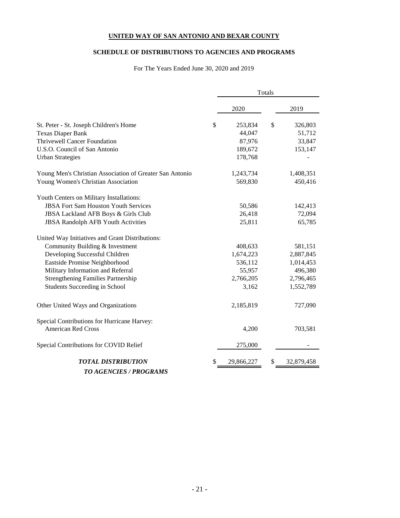#### **SCHEDULE OF DISTRIBUTIONS TO AGENCIES AND PROGRAMS**

For The Years Ended June 30, 2020 and 2019

|                                                          | Totals |            |    |            |  |
|----------------------------------------------------------|--------|------------|----|------------|--|
|                                                          |        | 2020       |    | 2019       |  |
| St. Peter - St. Joseph Children's Home                   | \$     | 253,834    | \$ | 326,803    |  |
| Texas Diaper Bank                                        |        | 44,047     |    | 51,712     |  |
| <b>Thrivewell Cancer Foundation</b>                      |        | 87,976     |    | 33,847     |  |
| U.S.O. Council of San Antonio                            |        | 189,672    |    | 153,147    |  |
| <b>Urban Strategies</b>                                  |        | 178,768    |    |            |  |
| Young Men's Christian Association of Greater San Antonio |        | 1,243,734  |    | 1,408,351  |  |
| Young Women's Christian Association                      |        | 569,830    |    | 450,416    |  |
| Youth Centers on Military Installations:                 |        |            |    |            |  |
| <b>JBSA Fort Sam Houston Youth Services</b>              |        | 50,586     |    | 142,413    |  |
| JBSA Lackland AFB Boys & Girls Club                      |        | 26,418     |    | 72,094     |  |
| <b>JBSA Randolph AFB Youth Activities</b>                |        | 25,811     |    | 65,785     |  |
| United Way Initiatives and Grant Distributions:          |        |            |    |            |  |
| Community Building & Investment                          |        | 408,633    |    | 581,151    |  |
| Developing Successful Children                           |        | 1,674,223  |    | 2,887,845  |  |
| Eastside Promise Neighborhood                            |        | 536,112    |    | 1,014,453  |  |
| Military Information and Referral                        |        | 55,957     |    | 496,380    |  |
| <b>Strengthening Families Partnership</b>                |        | 2,766,205  |    | 2,796,465  |  |
| <b>Students Succeeding in School</b>                     |        | 3,162      |    | 1,552,789  |  |
| Other United Ways and Organizations                      |        | 2,185,819  |    | 727,090    |  |
| Special Contributions for Hurricane Harvey:              |        |            |    |            |  |
| <b>American Red Cross</b>                                |        | 4,200      |    | 703,581    |  |
| Special Contributions for COVID Relief                   |        | 275,000    |    |            |  |
| <b>TOTAL DISTRIBUTION</b>                                | S      | 29,866,227 | \$ | 32,879,458 |  |
| <b>TO AGENCIES / PROGRAMS</b>                            |        |            |    |            |  |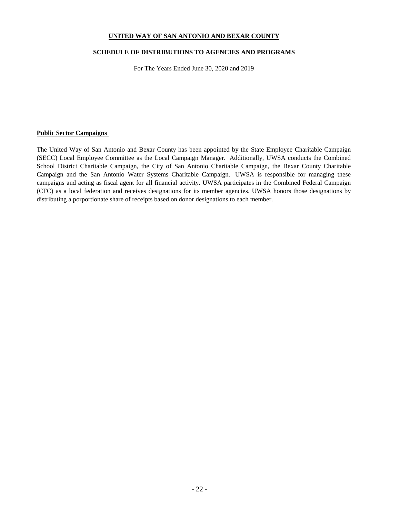#### **SCHEDULE OF DISTRIBUTIONS TO AGENCIES AND PROGRAMS**

For The Years Ended June 30, 2020 and 2019

#### **Public Sector Campaigns**

The United Way of San Antonio and Bexar County has been appointed by the State Employee Charitable Campaign (SECC) Local Employee Committee as the Local Campaign Manager. Additionally, UWSA conducts the Combined School District Charitable Campaign, the City of San Antonio Charitable Campaign, the Bexar County Charitable Campaign and the San Antonio Water Systems Charitable Campaign. UWSA is responsible for managing these campaigns and acting as fiscal agent for all financial activity. UWSA participates in the Combined Federal Campaign (CFC) as a local federation and receives designations for its member agencies. UWSA honors those designations by distributing a porportionate share of receipts based on donor designations to each member.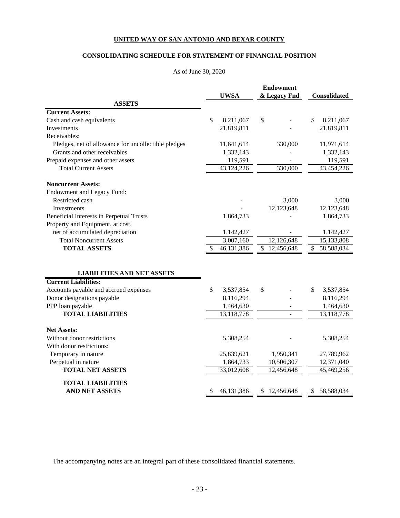#### **CONSOLIDATING SCHEDULE FOR STATEMENT OF FINANCIAL POSITION**

#### As of June 30, 2020

|                                                     |                  |     | <b>Endowment</b> |                  |
|-----------------------------------------------------|------------------|-----|------------------|------------------|
|                                                     | <b>UWSA</b>      |     | & Legacy Fnd     | Consolidated     |
| <b>ASSETS</b>                                       |                  |     |                  |                  |
| <b>Current Assets:</b>                              |                  |     |                  |                  |
| Cash and cash equivalents                           | \$<br>8,211,067  | \$  |                  | \$<br>8,211,067  |
| <b>Investments</b>                                  | 21,819,811       |     |                  | 21,819,811       |
| Receivables:                                        |                  |     |                  |                  |
| Pledges, net of allowance for uncollectible pledges | 11,641,614       |     | 330,000          | 11,971,614       |
| Grants and other receivables                        | 1,332,143        |     |                  | 1,332,143        |
| Prepaid expenses and other assets                   | 119,591          |     |                  | 119,591          |
| <b>Total Current Assets</b>                         | 43,124,226       |     | 330,000          | 43,454,226       |
| <b>Noncurrent Assets:</b>                           |                  |     |                  |                  |
| Endowment and Legacy Fund:                          |                  |     |                  |                  |
| Restricted cash                                     |                  |     | 3,000            | 3,000            |
| Investments                                         |                  |     | 12,123,648       | 12,123,648       |
| Beneficial Interests in Perpetual Trusts            | 1,864,733        |     |                  | 1,864,733        |
| Property and Equipment, at cost,                    |                  |     |                  |                  |
| net of accumulated depreciation                     | 1,142,427        |     |                  | 1,142,427        |
| <b>Total Noncurrent Assets</b>                      | 3,007,160        |     | 12,126,648       | 15,133,808       |
| <b>TOTAL ASSETS</b>                                 | \$<br>46,131,386 |     | \$12,456,648     | \$<br>58,588,034 |
|                                                     |                  |     |                  |                  |
| <b>LIABILITIES AND NET ASSETS</b>                   |                  |     |                  |                  |
| <b>Current Liabilities:</b>                         |                  |     |                  |                  |
| Accounts payable and accrued expenses               | \$<br>3,537,854  | \$  |                  | \$<br>3,537,854  |
| Donor designations payable                          | 8,116,294        |     |                  | 8,116,294        |
| PPP loan payable                                    | 1,464,630        |     |                  | 1,464,630        |
| <b>TOTAL LIABILITIES</b>                            | 13,118,778       |     |                  | 13,118,778       |
| <b>Net Assets:</b>                                  |                  |     |                  |                  |
| Without donor restrictions                          | 5,308,254        |     |                  | 5,308,254        |
| With donor restrictions:                            |                  |     |                  |                  |
| Temporary in nature                                 | 25,839,621       |     | 1,950,341        | 27,789,962       |
| Perpetual in nature                                 | 1,864,733        |     | 10,506,307       | 12,371,040       |
| <b>TOTAL NET ASSETS</b>                             | 33,012,608       |     | 12,456,648       | 45,469,256       |
|                                                     |                  |     |                  |                  |
| <b>TOTAL LIABILITIES</b>                            |                  |     |                  |                  |
| <b>AND NET ASSETS</b>                               | \$<br>46,131,386 | \$. | 12,456,648       | \$<br>58,588,034 |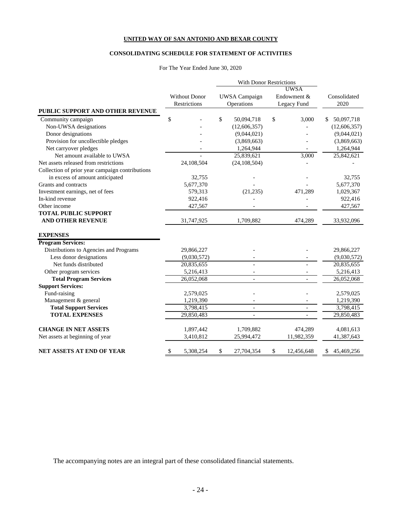#### **CONSOLIDATING SCHEDULE FOR STATEMENT OF ACTIVITIES**

#### For The Year Ended June 30, 2020

|                                                 |                      | With Donor Restrictions |                  |                  |
|-------------------------------------------------|----------------------|-------------------------|------------------|------------------|
|                                                 |                      |                         | <b>UWSA</b>      |                  |
|                                                 | <b>Without Donor</b> | <b>UWSA</b> Campaign    | Endowment &      | Consolidated     |
|                                                 | <b>Restrictions</b>  | Operations              | Legacy Fund      | 2020             |
| PUBLIC SUPPORT AND OTHER REVENUE                |                      |                         |                  |                  |
| Community campaign                              | \$                   | \$<br>50,094,718        | \$<br>3,000      | 50,097,718<br>\$ |
| Non-UWSA designations                           |                      | (12,606,357)            |                  | (12,606,357)     |
| Donor designations                              |                      | (9,044,021)             |                  | (9,044,021)      |
| Provision for uncollectible pledges             |                      | (3,869,663)             |                  | (3,869,663)      |
| Net carryover pledges                           |                      | 1,264,944               |                  | 1,264,944        |
| Net amount available to UWSA                    |                      | 25,839,621              | 3,000            | 25,842,621       |
| Net assets released from restrictions           | 24,108,504           | (24, 108, 504)          |                  |                  |
| Collection of prior year campaign contributions |                      |                         |                  |                  |
| in excess of amount anticipated                 | 32,755               |                         |                  | 32,755           |
| Grants and contracts                            | 5,677,370            |                         |                  | 5,677,370        |
| Investment earnings, net of fees                | 579,313              | (21, 235)               | 471.289          | 1,029,367        |
| In-kind revenue                                 | 922,416              |                         |                  | 922,416          |
| Other income                                    | 427,567              |                         |                  | 427,567          |
| <b>TOTAL PUBLIC SUPPORT</b>                     |                      |                         |                  |                  |
| <b>AND OTHER REVENUE</b>                        | 31,747,925           | 1,709,882               | 474,289          | 33,932,096       |
| <b>EXPENSES</b>                                 |                      |                         |                  |                  |
| <b>Program Services:</b>                        |                      |                         |                  |                  |
| Distributions to Agencies and Programs          | 29,866,227           |                         |                  | 29,866,227       |
| Less donor designations                         | (9,030,572)          |                         |                  | (9,030,572)      |
| Net funds distributed                           | 20,835,655           |                         |                  | 20,835,655       |
| Other program services                          | 5,216,413            |                         |                  | 5,216,413        |
| <b>Total Program Services</b>                   | 26,052,068           | $\overline{a}$          |                  | 26,052,068       |
| <b>Support Services:</b>                        |                      |                         |                  |                  |
| Fund-raising                                    | 2,579,025            |                         |                  | 2,579,025        |
| Management & general                            | 1,219,390            |                         |                  | 1,219,390        |
| <b>Total Support Services</b>                   | 3,798,415            | $\overline{a}$          |                  | 3,798,415        |
| <b>TOTAL EXPENSES</b>                           | 29,850,483           | $\overline{a}$          |                  | 29,850,483       |
| <b>CHANGE IN NET ASSETS</b>                     | 1,897,442            | 1,709,882               | 474,289          | 4,081,613        |
| Net assets at beginning of year                 | 3,410,812            | 25,994,472              | 11,982,359       | 41,387,643       |
| <b>NET ASSETS AT END OF YEAR</b>                | \$<br>5,308,254      | \$<br>27,704,354        | \$<br>12,456,648 | 45,469,256<br>\$ |